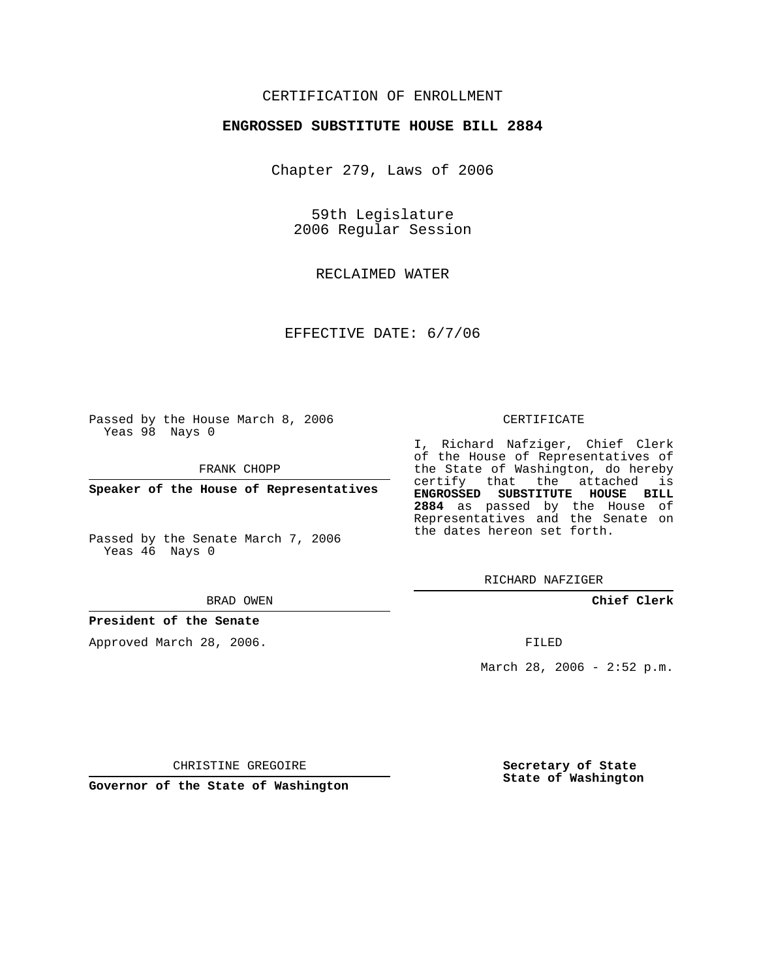## CERTIFICATION OF ENROLLMENT

### **ENGROSSED SUBSTITUTE HOUSE BILL 2884**

Chapter 279, Laws of 2006

59th Legislature 2006 Regular Session

RECLAIMED WATER

EFFECTIVE DATE: 6/7/06

Passed by the House March 8, 2006 Yeas 98 Nays 0

FRANK CHOPP

**Speaker of the House of Representatives**

Passed by the Senate March 7, 2006 Yeas 46 Nays 0

#### BRAD OWEN

### **President of the Senate**

Approved March 28, 2006.

### CERTIFICATE

I, Richard Nafziger, Chief Clerk of the House of Representatives of the State of Washington, do hereby certify that the attached is **ENGROSSED SUBSTITUTE HOUSE BILL 2884** as passed by the House of Representatives and the Senate on the dates hereon set forth.

RICHARD NAFZIGER

**Chief Clerk**

FILED

March 28, 2006 - 2:52 p.m.

CHRISTINE GREGOIRE

**Governor of the State of Washington**

**Secretary of State State of Washington**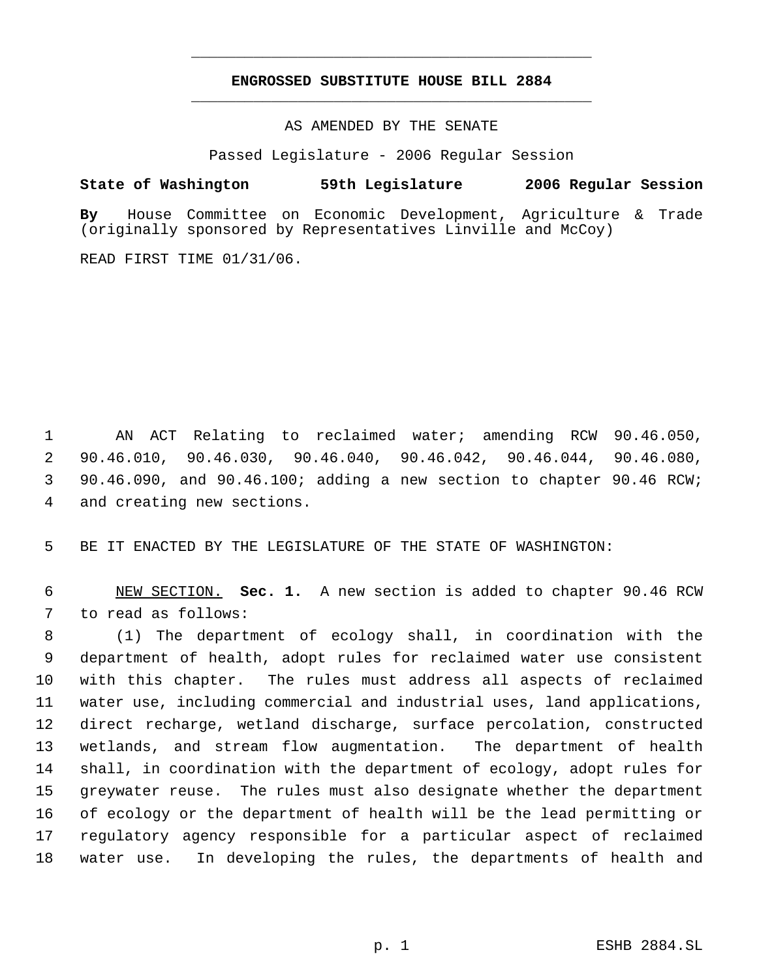# **ENGROSSED SUBSTITUTE HOUSE BILL 2884** \_\_\_\_\_\_\_\_\_\_\_\_\_\_\_\_\_\_\_\_\_\_\_\_\_\_\_\_\_\_\_\_\_\_\_\_\_\_\_\_\_\_\_\_\_

\_\_\_\_\_\_\_\_\_\_\_\_\_\_\_\_\_\_\_\_\_\_\_\_\_\_\_\_\_\_\_\_\_\_\_\_\_\_\_\_\_\_\_\_\_

AS AMENDED BY THE SENATE

Passed Legislature - 2006 Regular Session

## **State of Washington 59th Legislature 2006 Regular Session**

**By** House Committee on Economic Development, Agriculture & Trade (originally sponsored by Representatives Linville and McCoy)

READ FIRST TIME 01/31/06.

 AN ACT Relating to reclaimed water; amending RCW 90.46.050, 90.46.010, 90.46.030, 90.46.040, 90.46.042, 90.46.044, 90.46.080, 90.46.090, and 90.46.100; adding a new section to chapter 90.46 RCW; and creating new sections.

BE IT ENACTED BY THE LEGISLATURE OF THE STATE OF WASHINGTON:

 NEW SECTION. **Sec. 1.** A new section is added to chapter 90.46 RCW to read as follows:

 (1) The department of ecology shall, in coordination with the department of health, adopt rules for reclaimed water use consistent with this chapter. The rules must address all aspects of reclaimed water use, including commercial and industrial uses, land applications, direct recharge, wetland discharge, surface percolation, constructed wetlands, and stream flow augmentation. The department of health shall, in coordination with the department of ecology, adopt rules for greywater reuse. The rules must also designate whether the department of ecology or the department of health will be the lead permitting or regulatory agency responsible for a particular aspect of reclaimed water use. In developing the rules, the departments of health and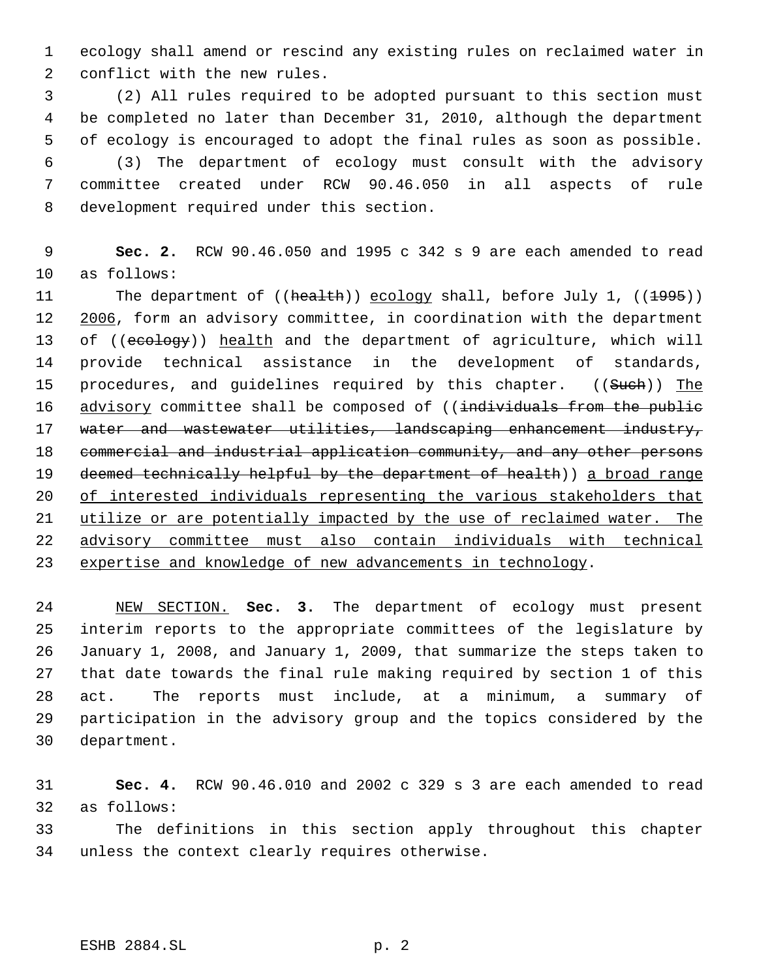ecology shall amend or rescind any existing rules on reclaimed water in conflict with the new rules.

 (2) All rules required to be adopted pursuant to this section must be completed no later than December 31, 2010, although the department of ecology is encouraged to adopt the final rules as soon as possible. (3) The department of ecology must consult with the advisory committee created under RCW 90.46.050 in all aspects of rule development required under this section.

 **Sec. 2.** RCW 90.46.050 and 1995 c 342 s 9 are each amended to read as follows:

11 The department of ((health)) ecology shall, before July 1, ((1995)) 12 2006, form an advisory committee, in coordination with the department 13 of ((ecology)) health and the department of agriculture, which will provide technical assistance in the development of standards, 15 procedures, and guidelines required by this chapter. ((Such)) The 16 advisory committee shall be composed of ((individuals from the public 17 water and wastewater utilities, landscaping enhancement industry, commercial and industrial application community, and any other persons 19 deemed technically helpful by the department of health)) a broad range of interested individuals representing the various stakeholders that utilize or are potentially impacted by the use of reclaimed water. The advisory committee must also contain individuals with technical 23 expertise and knowledge of new advancements in technology.

 NEW SECTION. **Sec. 3.** The department of ecology must present interim reports to the appropriate committees of the legislature by January 1, 2008, and January 1, 2009, that summarize the steps taken to that date towards the final rule making required by section 1 of this act. The reports must include, at a minimum, a summary of participation in the advisory group and the topics considered by the department.

 **Sec. 4.** RCW 90.46.010 and 2002 c 329 s 3 are each amended to read as follows:

 The definitions in this section apply throughout this chapter unless the context clearly requires otherwise.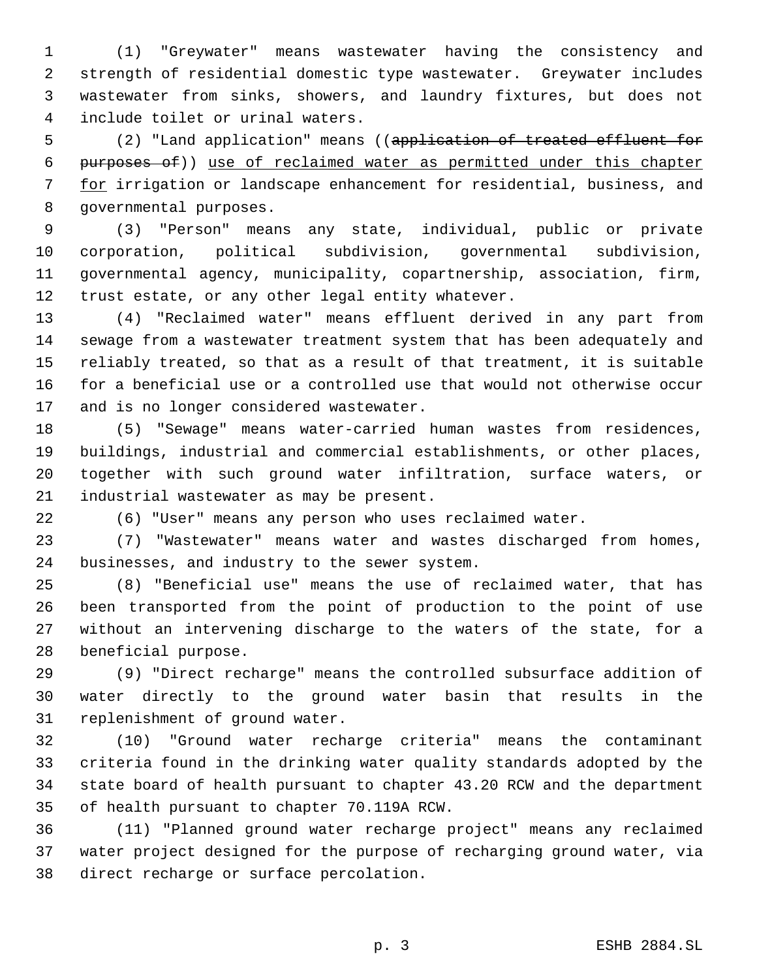(1) "Greywater" means wastewater having the consistency and strength of residential domestic type wastewater. Greywater includes wastewater from sinks, showers, and laundry fixtures, but does not include toilet or urinal waters.

 (2) "Land application" means ((application of treated effluent for purposes of)) use of reclaimed water as permitted under this chapter for irrigation or landscape enhancement for residential, business, and governmental purposes.

 (3) "Person" means any state, individual, public or private corporation, political subdivision, governmental subdivision, governmental agency, municipality, copartnership, association, firm, trust estate, or any other legal entity whatever.

 (4) "Reclaimed water" means effluent derived in any part from sewage from a wastewater treatment system that has been adequately and reliably treated, so that as a result of that treatment, it is suitable for a beneficial use or a controlled use that would not otherwise occur and is no longer considered wastewater.

 (5) "Sewage" means water-carried human wastes from residences, buildings, industrial and commercial establishments, or other places, together with such ground water infiltration, surface waters, or industrial wastewater as may be present.

(6) "User" means any person who uses reclaimed water.

 (7) "Wastewater" means water and wastes discharged from homes, businesses, and industry to the sewer system.

 (8) "Beneficial use" means the use of reclaimed water, that has been transported from the point of production to the point of use without an intervening discharge to the waters of the state, for a beneficial purpose.

 (9) "Direct recharge" means the controlled subsurface addition of water directly to the ground water basin that results in the replenishment of ground water.

 (10) "Ground water recharge criteria" means the contaminant criteria found in the drinking water quality standards adopted by the state board of health pursuant to chapter 43.20 RCW and the department of health pursuant to chapter 70.119A RCW.

 (11) "Planned ground water recharge project" means any reclaimed water project designed for the purpose of recharging ground water, via direct recharge or surface percolation.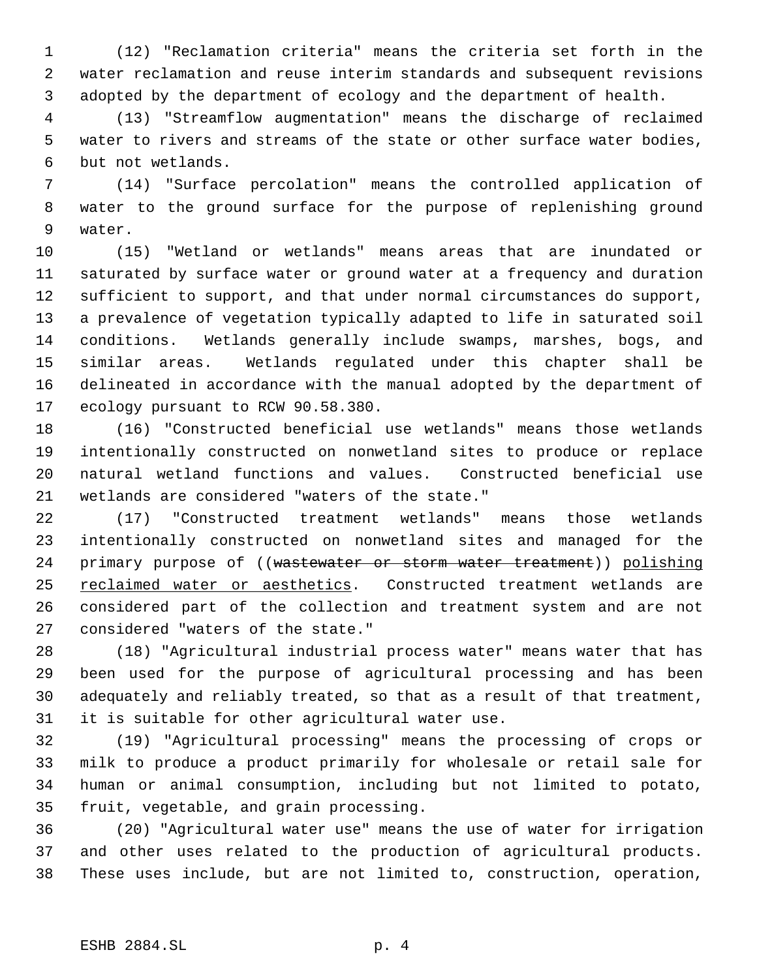(12) "Reclamation criteria" means the criteria set forth in the water reclamation and reuse interim standards and subsequent revisions adopted by the department of ecology and the department of health.

 (13) "Streamflow augmentation" means the discharge of reclaimed water to rivers and streams of the state or other surface water bodies, but not wetlands.

 (14) "Surface percolation" means the controlled application of water to the ground surface for the purpose of replenishing ground water.

 (15) "Wetland or wetlands" means areas that are inundated or saturated by surface water or ground water at a frequency and duration sufficient to support, and that under normal circumstances do support, a prevalence of vegetation typically adapted to life in saturated soil conditions. Wetlands generally include swamps, marshes, bogs, and similar areas. Wetlands regulated under this chapter shall be delineated in accordance with the manual adopted by the department of ecology pursuant to RCW 90.58.380.

 (16) "Constructed beneficial use wetlands" means those wetlands intentionally constructed on nonwetland sites to produce or replace natural wetland functions and values. Constructed beneficial use wetlands are considered "waters of the state."

 (17) "Constructed treatment wetlands" means those wetlands intentionally constructed on nonwetland sites and managed for the 24 primary purpose of ((wastewater or storm water treatment)) polishing 25 reclaimed water or aesthetics. Constructed treatment wetlands are considered part of the collection and treatment system and are not considered "waters of the state."

 (18) "Agricultural industrial process water" means water that has been used for the purpose of agricultural processing and has been adequately and reliably treated, so that as a result of that treatment, it is suitable for other agricultural water use.

 (19) "Agricultural processing" means the processing of crops or milk to produce a product primarily for wholesale or retail sale for human or animal consumption, including but not limited to potato, fruit, vegetable, and grain processing.

 (20) "Agricultural water use" means the use of water for irrigation and other uses related to the production of agricultural products. These uses include, but are not limited to, construction, operation,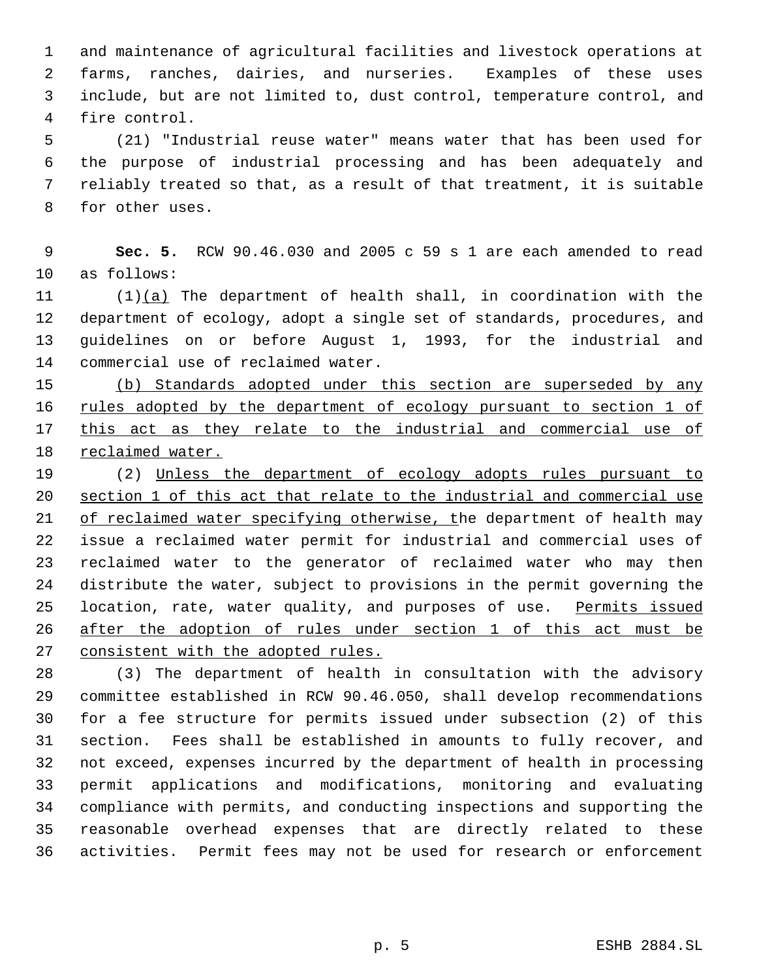and maintenance of agricultural facilities and livestock operations at farms, ranches, dairies, and nurseries. Examples of these uses include, but are not limited to, dust control, temperature control, and fire control.

 (21) "Industrial reuse water" means water that has been used for the purpose of industrial processing and has been adequately and reliably treated so that, as a result of that treatment, it is suitable for other uses.

 **Sec. 5.** RCW 90.46.030 and 2005 c 59 s 1 are each amended to read as follows:

 (1)(a) The department of health shall, in coordination with the department of ecology, adopt a single set of standards, procedures, and guidelines on or before August 1, 1993, for the industrial and commercial use of reclaimed water.

 (b) Standards adopted under this section are superseded by any 16 rules adopted by the department of ecology pursuant to section 1 of this act as they relate to the industrial and commercial use of reclaimed water.

 (2) Unless the department of ecology adopts rules pursuant to section 1 of this act that relate to the industrial and commercial use of reclaimed water specifying otherwise, the department of health may issue a reclaimed water permit for industrial and commercial uses of reclaimed water to the generator of reclaimed water who may then distribute the water, subject to provisions in the permit governing the 25 location, rate, water quality, and purposes of use. Permits issued after the adoption of rules under section 1 of this act must be 27 consistent with the adopted rules.

 (3) The department of health in consultation with the advisory committee established in RCW 90.46.050, shall develop recommendations for a fee structure for permits issued under subsection (2) of this section. Fees shall be established in amounts to fully recover, and not exceed, expenses incurred by the department of health in processing permit applications and modifications, monitoring and evaluating compliance with permits, and conducting inspections and supporting the reasonable overhead expenses that are directly related to these activities. Permit fees may not be used for research or enforcement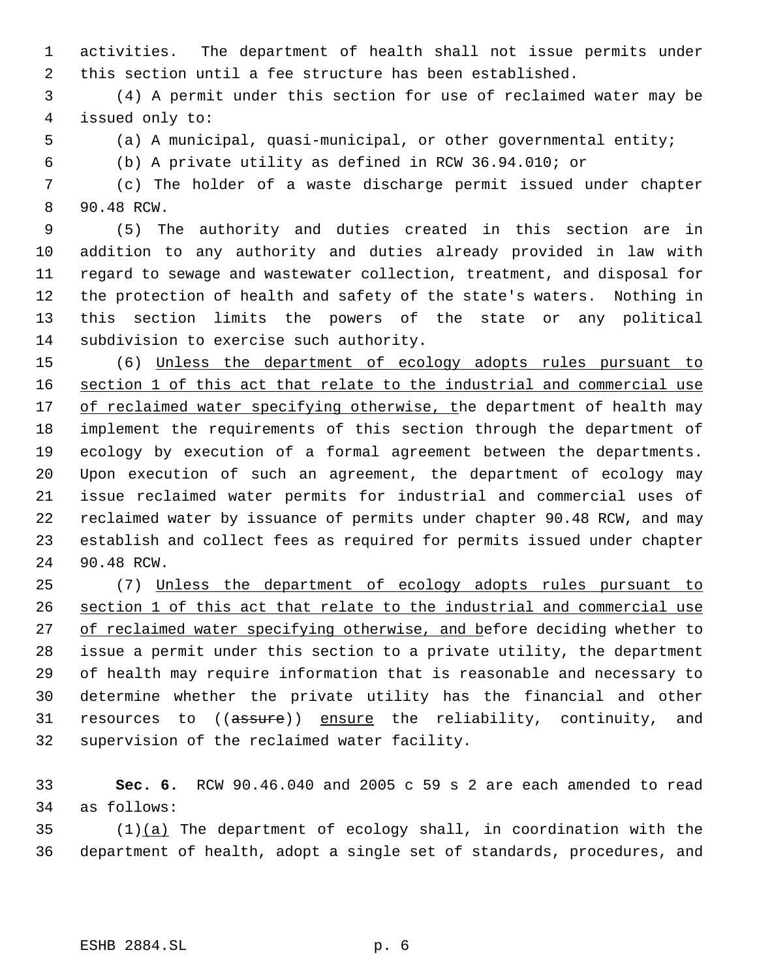activities. The department of health shall not issue permits under this section until a fee structure has been established.

 (4) A permit under this section for use of reclaimed water may be issued only to:

(a) A municipal, quasi-municipal, or other governmental entity;

(b) A private utility as defined in RCW 36.94.010; or

 (c) The holder of a waste discharge permit issued under chapter 90.48 RCW.

 (5) The authority and duties created in this section are in addition to any authority and duties already provided in law with regard to sewage and wastewater collection, treatment, and disposal for the protection of health and safety of the state's waters. Nothing in this section limits the powers of the state or any political subdivision to exercise such authority.

 (6) Unless the department of ecology adopts rules pursuant to section 1 of this act that relate to the industrial and commercial use 17 of reclaimed water specifying otherwise, the department of health may implement the requirements of this section through the department of ecology by execution of a formal agreement between the departments. Upon execution of such an agreement, the department of ecology may issue reclaimed water permits for industrial and commercial uses of reclaimed water by issuance of permits under chapter 90.48 RCW, and may establish and collect fees as required for permits issued under chapter 90.48 RCW.

 (7) Unless the department of ecology adopts rules pursuant to section 1 of this act that relate to the industrial and commercial use 27 of reclaimed water specifying otherwise, and before deciding whether to issue a permit under this section to a private utility, the department of health may require information that is reasonable and necessary to determine whether the private utility has the financial and other 31 resources to ((assure)) ensure the reliability, continuity, and supervision of the reclaimed water facility.

 **Sec. 6.** RCW 90.46.040 and 2005 c 59 s 2 are each amended to read as follows:

 (1)(a) The department of ecology shall, in coordination with the department of health, adopt a single set of standards, procedures, and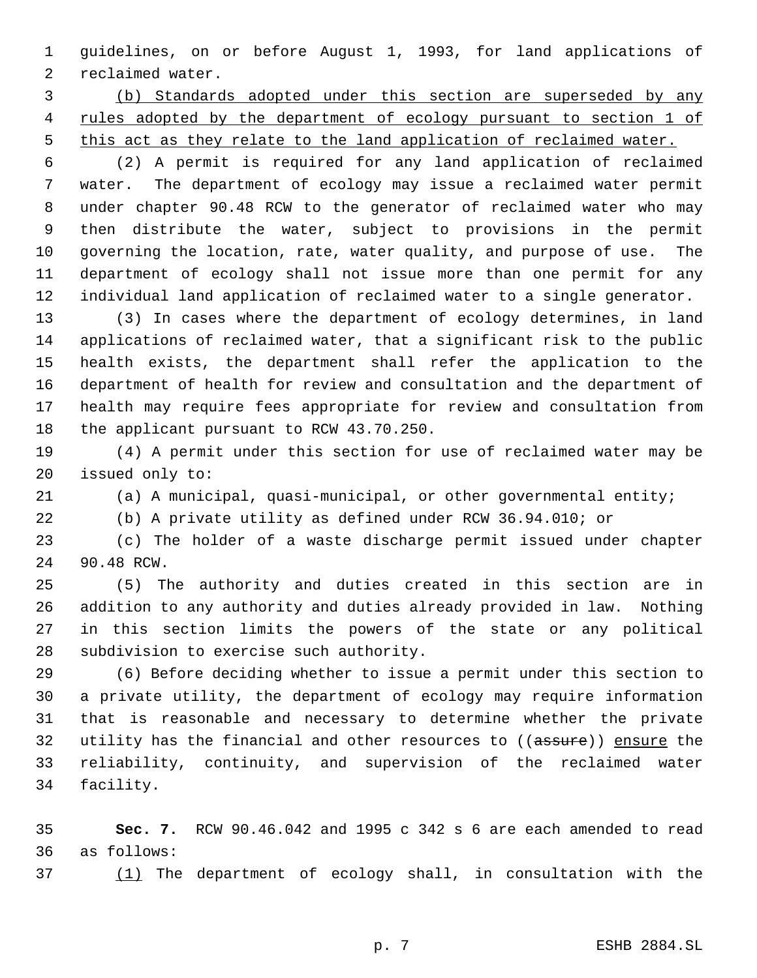guidelines, on or before August 1, 1993, for land applications of reclaimed water.

 (b) Standards adopted under this section are superseded by any 4 rules adopted by the department of ecology pursuant to section 1 of 5 this act as they relate to the land application of reclaimed water.

 (2) A permit is required for any land application of reclaimed water. The department of ecology may issue a reclaimed water permit under chapter 90.48 RCW to the generator of reclaimed water who may then distribute the water, subject to provisions in the permit governing the location, rate, water quality, and purpose of use. The department of ecology shall not issue more than one permit for any individual land application of reclaimed water to a single generator.

 (3) In cases where the department of ecology determines, in land applications of reclaimed water, that a significant risk to the public health exists, the department shall refer the application to the department of health for review and consultation and the department of health may require fees appropriate for review and consultation from 18 the applicant pursuant to RCW 43.70.250.

 (4) A permit under this section for use of reclaimed water may be issued only to:

(a) A municipal, quasi-municipal, or other governmental entity;

(b) A private utility as defined under RCW 36.94.010; or

 (c) The holder of a waste discharge permit issued under chapter 90.48 RCW.

 (5) The authority and duties created in this section are in addition to any authority and duties already provided in law. Nothing in this section limits the powers of the state or any political subdivision to exercise such authority.

 (6) Before deciding whether to issue a permit under this section to a private utility, the department of ecology may require information that is reasonable and necessary to determine whether the private 32 utility has the financial and other resources to ((assure)) ensure the reliability, continuity, and supervision of the reclaimed water facility.

 **Sec. 7.** RCW 90.46.042 and 1995 c 342 s 6 are each amended to read as follows:

(1) The department of ecology shall, in consultation with the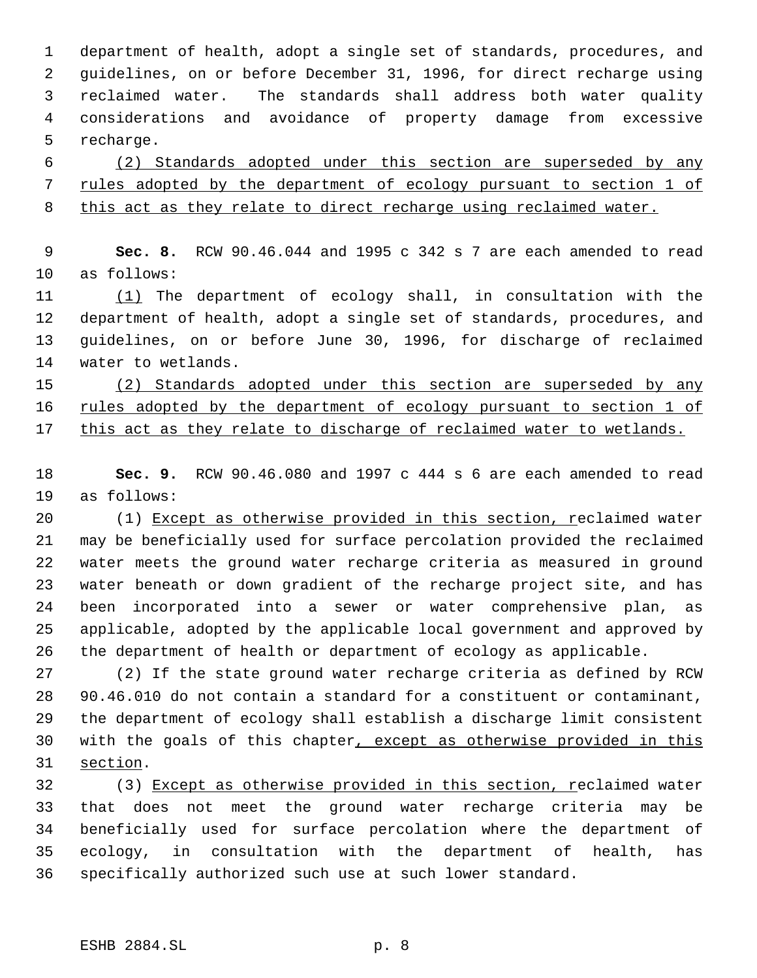department of health, adopt a single set of standards, procedures, and guidelines, on or before December 31, 1996, for direct recharge using reclaimed water. The standards shall address both water quality considerations and avoidance of property damage from excessive recharge.

 (2) Standards adopted under this section are superseded by any rules adopted by the department of ecology pursuant to section 1 of this act as they relate to direct recharge using reclaimed water.

 **Sec. 8.** RCW 90.46.044 and 1995 c 342 s 7 are each amended to read as follows:

 (1) The department of ecology shall, in consultation with the department of health, adopt a single set of standards, procedures, and guidelines, on or before June 30, 1996, for discharge of reclaimed water to wetlands.

 (2) Standards adopted under this section are superseded by any 16 rules adopted by the department of ecology pursuant to section 1 of this act as they relate to discharge of reclaimed water to wetlands.

 **Sec. 9.** RCW 90.46.080 and 1997 c 444 s 6 are each amended to read as follows:

 (1) Except as otherwise provided in this section, reclaimed water may be beneficially used for surface percolation provided the reclaimed water meets the ground water recharge criteria as measured in ground water beneath or down gradient of the recharge project site, and has been incorporated into a sewer or water comprehensive plan, as applicable, adopted by the applicable local government and approved by the department of health or department of ecology as applicable.

 (2) If the state ground water recharge criteria as defined by RCW 90.46.010 do not contain a standard for a constituent or contaminant, the department of ecology shall establish a discharge limit consistent 30 with the goals of this chapter, except as otherwise provided in this section.

32 (3) Except as otherwise provided in this section, reclaimed water that does not meet the ground water recharge criteria may be beneficially used for surface percolation where the department of ecology, in consultation with the department of health, has specifically authorized such use at such lower standard.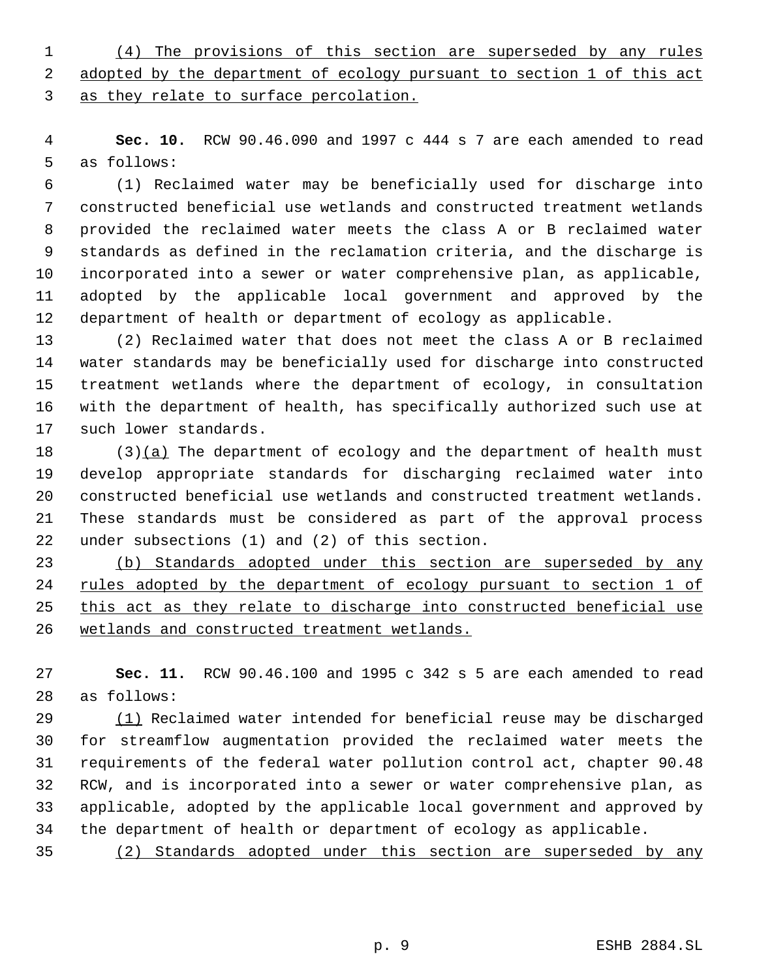(4) The provisions of this section are superseded by any rules 2 adopted by the department of ecology pursuant to section 1 of this act as they relate to surface percolation.

 **Sec. 10.** RCW 90.46.090 and 1997 c 444 s 7 are each amended to read as follows:

 (1) Reclaimed water may be beneficially used for discharge into constructed beneficial use wetlands and constructed treatment wetlands provided the reclaimed water meets the class A or B reclaimed water standards as defined in the reclamation criteria, and the discharge is incorporated into a sewer or water comprehensive plan, as applicable, adopted by the applicable local government and approved by the department of health or department of ecology as applicable.

 (2) Reclaimed water that does not meet the class A or B reclaimed water standards may be beneficially used for discharge into constructed treatment wetlands where the department of ecology, in consultation with the department of health, has specifically authorized such use at such lower standards.

 $(3)(a)$  The department of ecology and the department of health must develop appropriate standards for discharging reclaimed water into constructed beneficial use wetlands and constructed treatment wetlands. These standards must be considered as part of the approval process under subsections (1) and (2) of this section.

 (b) Standards adopted under this section are superseded by any rules adopted by the department of ecology pursuant to section 1 of 25 this act as they relate to discharge into constructed beneficial use wetlands and constructed treatment wetlands.

 **Sec. 11.** RCW 90.46.100 and 1995 c 342 s 5 are each amended to read as follows:

 (1) Reclaimed water intended for beneficial reuse may be discharged for streamflow augmentation provided the reclaimed water meets the requirements of the federal water pollution control act, chapter 90.48 RCW, and is incorporated into a sewer or water comprehensive plan, as applicable, adopted by the applicable local government and approved by the department of health or department of ecology as applicable.

(2) Standards adopted under this section are superseded by any